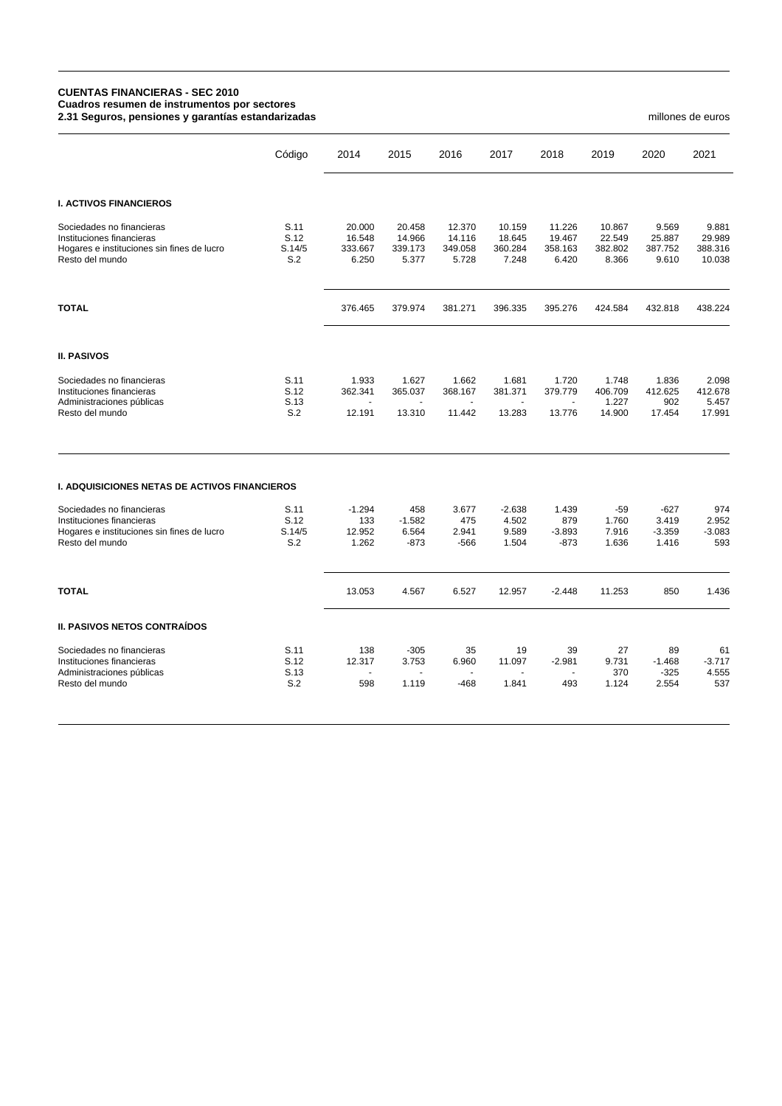## **CUENTAS FINANCIERAS - SEC 2010 Cuadros resumen de instrumentos por sectores 2.31 Seguros, pensiones y garantías estandarizadas** millones de euros

|                                                                                                                         | Código                        | 2014                                 | 2015                                 | 2016                                 | 2017                                 | 2018                                    | 2019                                 | 2020                                 | 2021                                 |
|-------------------------------------------------------------------------------------------------------------------------|-------------------------------|--------------------------------------|--------------------------------------|--------------------------------------|--------------------------------------|-----------------------------------------|--------------------------------------|--------------------------------------|--------------------------------------|
| <b>I. ACTIVOS FINANCIEROS</b>                                                                                           |                               |                                      |                                      |                                      |                                      |                                         |                                      |                                      |                                      |
| Sociedades no financieras<br>Instituciones financieras<br>Hogares e instituciones sin fines de lucro<br>Resto del mundo | S.11<br>S.12<br>S.14/5<br>S.2 | 20.000<br>16.548<br>333.667<br>6.250 | 20.458<br>14.966<br>339.173<br>5.377 | 12.370<br>14.116<br>349.058<br>5.728 | 10.159<br>18.645<br>360.284<br>7.248 | 11.226<br>19.467<br>358.163<br>6.420    | 10.867<br>22.549<br>382.802<br>8.366 | 9.569<br>25.887<br>387.752<br>9.610  | 9.881<br>29.989<br>388.316<br>10.038 |
| <b>TOTAL</b>                                                                                                            |                               | 376.465                              | 379.974                              | 381.271                              | 396.335                              | 395.276                                 | 424.584                              | 432.818                              | 438.224                              |
| <b>II. PASIVOS</b>                                                                                                      |                               |                                      |                                      |                                      |                                      |                                         |                                      |                                      |                                      |
| Sociedades no financieras<br>Instituciones financieras<br>Administraciones públicas<br>Resto del mundo                  | S.11<br>S.12<br>S.13<br>S.2   | 1.933<br>362.341<br>12.191           | 1.627<br>365.037<br>13.310           | 1.662<br>368.167<br>11.442           | 1.681<br>381.371<br>13.283           | 1.720<br>379.779<br>$\sim$<br>13.776    | 1.748<br>406.709<br>1.227<br>14.900  | 1.836<br>412.625<br>902<br>17.454    | 2.098<br>412.678<br>5.457<br>17.991  |
| <b>I. ADQUISICIONES NETAS DE ACTIVOS FINANCIEROS</b>                                                                    |                               |                                      |                                      |                                      |                                      |                                         |                                      |                                      |                                      |
| Sociedades no financieras<br>Instituciones financieras<br>Hogares e instituciones sin fines de lucro<br>Resto del mundo | S.11<br>S.12<br>S.14/5<br>S.2 | $-1.294$<br>133<br>12.952<br>1.262   | 458<br>$-1.582$<br>6.564<br>$-873$   | 3.677<br>475<br>2.941<br>$-566$      | $-2.638$<br>4.502<br>9.589<br>1.504  | 1.439<br>879<br>$-3.893$<br>$-873$      | $-59$<br>1.760<br>7.916<br>1.636     | $-627$<br>3.419<br>$-3.359$<br>1.416 | 974<br>2.952<br>$-3.083$<br>593      |
| <b>TOTAL</b>                                                                                                            |                               | 13.053                               | 4.567                                | 6.527                                | 12.957                               | $-2.448$                                | 11.253                               | 850                                  | 1.436                                |
| <b>II. PASIVOS NETOS CONTRAÍDOS</b>                                                                                     |                               |                                      |                                      |                                      |                                      |                                         |                                      |                                      |                                      |
| Sociedades no financieras<br>Instituciones financieras<br>Administraciones públicas<br>Resto del mundo                  | S.11<br>S.12<br>S.13<br>S.2   | 138<br>12.317<br>598                 | $-305$<br>3.753<br>1.119             | 35<br>6.960<br>$-468$                | 19<br>11.097<br>1.841                | 39<br>$-2.981$<br>$\overline{a}$<br>493 | 27<br>9.731<br>370<br>1.124          | 89<br>$-1.468$<br>$-325$<br>2.554    | 61<br>$-3.717$<br>4.555<br>537       |